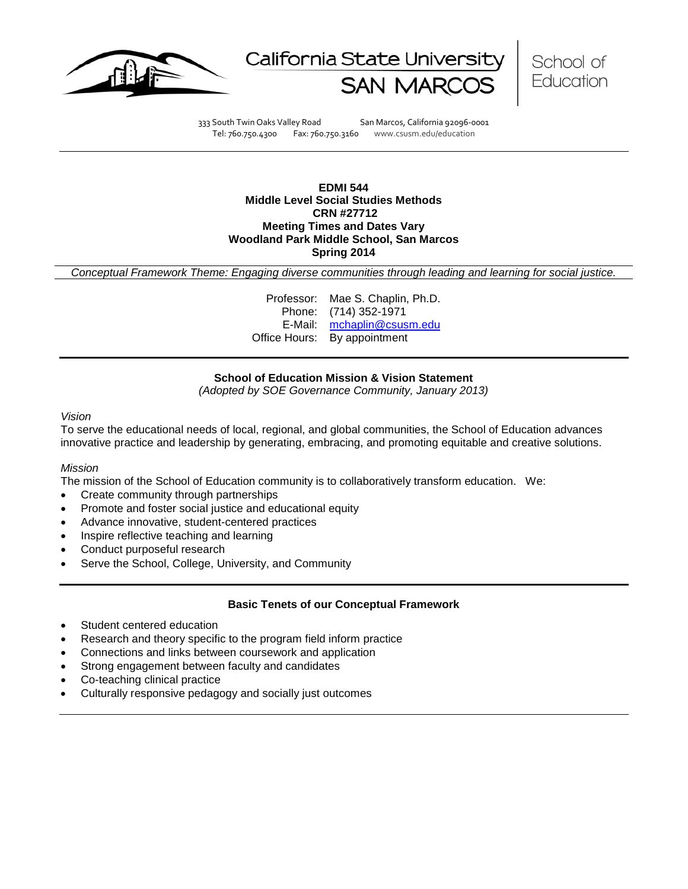





333 South Twin Oaks Valley Road San Marcos, California 92096-0001 Tel: 760.750.4300 Fax: 760.750.3160 www.csusm.edu/education

### **EDMI 544 Middle Level Social Studies Methods CRN #27712 Meeting Times and Dates Vary Woodland Park Middle School, San Marcos Spring 2014**

*Conceptual Framework Theme: Engaging diverse communities through leading and learning for social justice.*

Professor: Mae S. Chaplin, Ph.D. Phone: (714) 352-1971 E-Mail: [mchaplin@csusm.edu](mailto:mchaplin@csusm.edu) Office Hours: By appointment

# **School of Education Mission & Vision Statement**

*(Adopted by SOE Governance Community, January 2013)*

## *Vision*

To serve the educational needs of local, regional, and global communities, the School of Education advances innovative practice and leadership by generating, embracing, and promoting equitable and creative solutions.

#### *Mission*

The mission of the School of Education community is to collaboratively transform education. We:

- Create community through partnerships
- Promote and foster social justice and educational equity
- Advance innovative, student-centered practices
- Inspire reflective teaching and learning
- Conduct purposeful research
- Serve the School, College, University, and Community

### **Basic Tenets of our Conceptual Framework**

- Student centered education
- Research and theory specific to the program field inform practice
- Connections and links between coursework and application
- Strong engagement between faculty and candidates
- Co-teaching clinical practice
- Culturally responsive pedagogy and socially just outcomes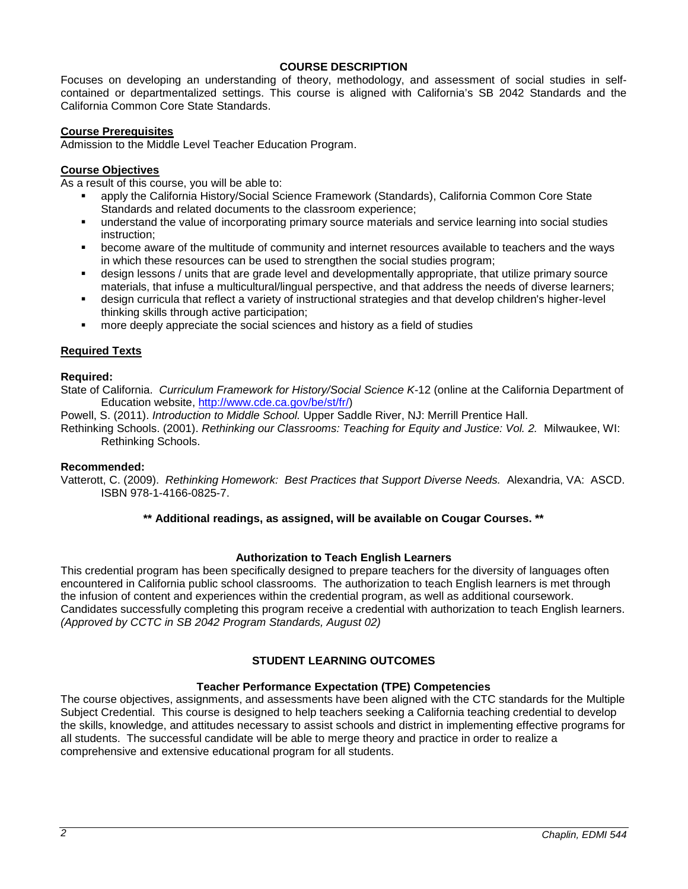## **COURSE DESCRIPTION**

Focuses on developing an understanding of theory, methodology, and assessment of social studies in selfcontained or departmentalized settings. This course is aligned with California's SB 2042 Standards and the California Common Core State Standards.

### **Course Prerequisites**

Admission to the Middle Level Teacher Education Program.

## **Course Objectives**

As a result of this course, you will be able to:

- apply the California History/Social Science Framework (Standards), California Common Core State Standards and related documents to the classroom experience;
- understand the value of incorporating primary source materials and service learning into social studies instruction;
- become aware of the multitude of community and internet resources available to teachers and the ways in which these resources can be used to strengthen the social studies program;
- design lessons / units that are grade level and developmentally appropriate, that utilize primary source materials, that infuse a multicultural/lingual perspective, and that address the needs of diverse learners;
- design curricula that reflect a variety of instructional strategies and that develop children's higher-level thinking skills through active participation;
- more deeply appreciate the social sciences and history as a field of studies

# **Required Texts**

# **Required:**

State of California. *Curriculum Framework for History/Social Science K-*12 (online at the California Department of Education website, [http://www.cde.ca.gov/be/st/fr/\)](http://www.cde.ca.gov/be/st/fr/)

Powell, S. (2011). *Introduction to Middle School.* Upper Saddle River, NJ: Merrill Prentice Hall.

Rethinking Schools. (2001). *Rethinking our Classrooms: Teaching for Equity and Justice: Vol. 2.* Milwaukee, WI: Rethinking Schools.

### **Recommended:**

Vatterott, C. (2009). *Rethinking Homework: Best Practices that Support Diverse Needs.* Alexandria, VA: ASCD. ISBN 978-1-4166-0825-7.

### **\*\* Additional readings, as assigned, will be available on Cougar Courses. \*\***

### **Authorization to Teach English Learners**

This credential program has been specifically designed to prepare teachers for the diversity of languages often encountered in California public school classrooms. The authorization to teach English learners is met through the infusion of content and experiences within the credential program, as well as additional coursework. Candidates successfully completing this program receive a credential with authorization to teach English learners. *(Approved by CCTC in SB 2042 Program Standards, August 02)*

# **STUDENT LEARNING OUTCOMES**

### **Teacher Performance Expectation (TPE) Competencies**

The course objectives, assignments, and assessments have been aligned with the CTC standards for the Multiple Subject Credential. This course is designed to help teachers seeking a California teaching credential to develop the skills, knowledge, and attitudes necessary to assist schools and district in implementing effective programs for all students. The successful candidate will be able to merge theory and practice in order to realize a comprehensive and extensive educational program for all students.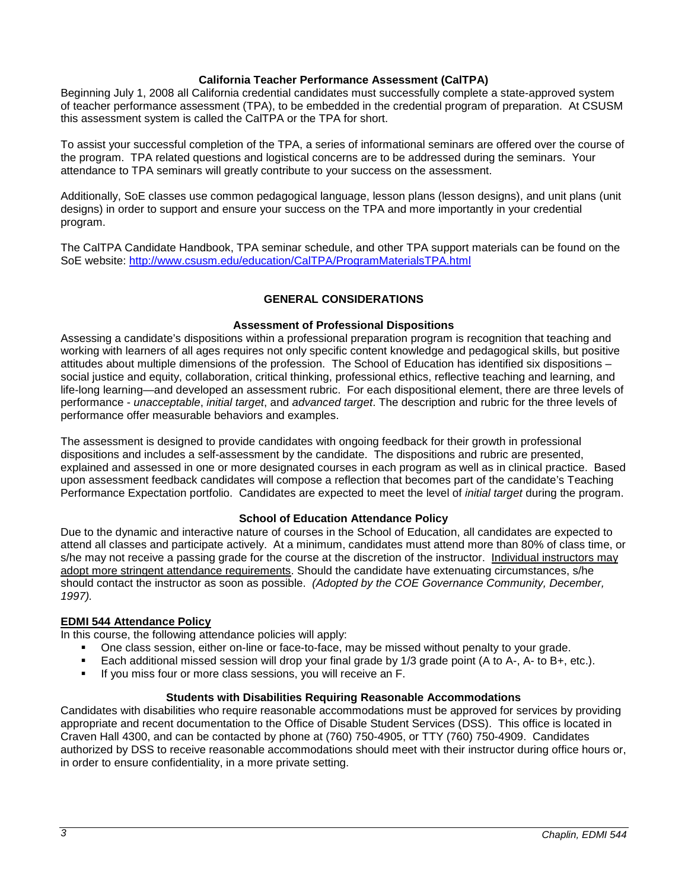# **California Teacher Performance Assessment (CalTPA)**

Beginning July 1, 2008 all California credential candidates must successfully complete a state-approved system of teacher performance assessment (TPA), to be embedded in the credential program of preparation. At CSUSM this assessment system is called the CalTPA or the TPA for short.

To assist your successful completion of the TPA, a series of informational seminars are offered over the course of the program. TPA related questions and logistical concerns are to be addressed during the seminars. Your attendance to TPA seminars will greatly contribute to your success on the assessment.

Additionally, SoE classes use common pedagogical language, lesson plans (lesson designs), and unit plans (unit designs) in order to support and ensure your success on the TPA and more importantly in your credential program.

The CalTPA Candidate Handbook, TPA seminar schedule, and other TPA support materials can be found on the SoE website: <http://www.csusm.edu/education/CalTPA/ProgramMaterialsTPA.html>

# **GENERAL CONSIDERATIONS**

# **Assessment of Professional Dispositions**

Assessing a candidate's dispositions within a professional preparation program is recognition that teaching and working with learners of all ages requires not only specific content knowledge and pedagogical skills, but positive attitudes about multiple dimensions of the profession. The School of Education has identified six dispositions – social justice and equity, collaboration, critical thinking, professional ethics, reflective teaching and learning, and life-long learning—and developed an assessment rubric. For each dispositional element, there are three levels of performance - *unacceptable*, *initial target*, and *advanced target*. The description and rubric for the three levels of performance offer measurable behaviors and examples.

The assessment is designed to provide candidates with ongoing feedback for their growth in professional dispositions and includes a self-assessment by the candidate. The dispositions and rubric are presented, explained and assessed in one or more designated courses in each program as well as in clinical practice. Based upon assessment feedback candidates will compose a reflection that becomes part of the candidate's Teaching Performance Expectation portfolio. Candidates are expected to meet the level of *initial target* during the program.

# **School of Education Attendance Policy**

Due to the dynamic and interactive nature of courses in the School of Education, all candidates are expected to attend all classes and participate actively. At a minimum, candidates must attend more than 80% of class time, or s/he may not receive a passing grade for the course at the discretion of the instructor. Individual instructors may adopt more stringent attendance requirements. Should the candidate have extenuating circumstances, s/he should contact the instructor as soon as possible. *(Adopted by the COE Governance Community, December, 1997).*

### **EDMI 544 Attendance Policy**

In this course, the following attendance policies will apply:

- One class session, either on-line or face-to-face, may be missed without penalty to your grade.
- Each additional missed session will drop your final grade by 1/3 grade point (A to A-, A- to B+, etc.).
- If you miss four or more class sessions, you will receive an F.

# **Students with Disabilities Requiring Reasonable Accommodations**

Candidates with disabilities who require reasonable accommodations must be approved for services by providing appropriate and recent documentation to the Office of Disable Student Services (DSS). This office is located in Craven Hall 4300, and can be contacted by phone at (760) 750-4905, or TTY (760) 750-4909. Candidates authorized by DSS to receive reasonable accommodations should meet with their instructor during office hours or, in order to ensure confidentiality, in a more private setting.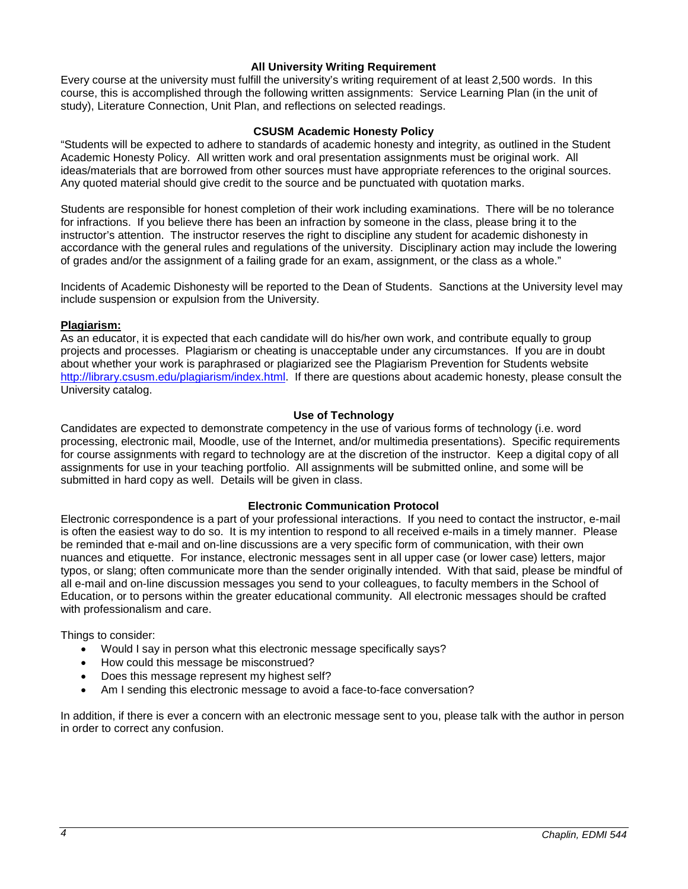# **All University Writing Requirement**

Every course at the university must fulfill the university's writing requirement of at least 2,500 words. In this course, this is accomplished through the following written assignments: Service Learning Plan (in the unit of study), Literature Connection, Unit Plan, and reflections on selected readings.

### **CSUSM Academic Honesty Policy**

"Students will be expected to adhere to standards of academic honesty and integrity, as outlined in the Student Academic Honesty Policy. All written work and oral presentation assignments must be original work. All ideas/materials that are borrowed from other sources must have appropriate references to the original sources. Any quoted material should give credit to the source and be punctuated with quotation marks.

Students are responsible for honest completion of their work including examinations. There will be no tolerance for infractions. If you believe there has been an infraction by someone in the class, please bring it to the instructor's attention. The instructor reserves the right to discipline any student for academic dishonesty in accordance with the general rules and regulations of the university. Disciplinary action may include the lowering of grades and/or the assignment of a failing grade for an exam, assignment, or the class as a whole."

Incidents of Academic Dishonesty will be reported to the Dean of Students. Sanctions at the University level may include suspension or expulsion from the University.

#### **Plagiarism:**

As an educator, it is expected that each candidate will do his/her own work, and contribute equally to group projects and processes. Plagiarism or cheating is unacceptable under any circumstances. If you are in doubt about whether your work is paraphrased or plagiarized see the Plagiarism Prevention for Students website [http://library.csusm.edu/plagiarism/index.html.](http://library.csusm.edu/plagiarism/index.html) If there are questions about academic honesty, please consult the University catalog.

#### **Use of Technology**

Candidates are expected to demonstrate competency in the use of various forms of technology (i.e. word processing, electronic mail, Moodle, use of the Internet, and/or multimedia presentations). Specific requirements for course assignments with regard to technology are at the discretion of the instructor. Keep a digital copy of all assignments for use in your teaching portfolio. All assignments will be submitted online, and some will be submitted in hard copy as well. Details will be given in class.

#### **Electronic Communication Protocol**

Electronic correspondence is a part of your professional interactions. If you need to contact the instructor, e-mail is often the easiest way to do so. It is my intention to respond to all received e-mails in a timely manner. Please be reminded that e-mail and on-line discussions are a very specific form of communication, with their own nuances and etiquette. For instance, electronic messages sent in all upper case (or lower case) letters, major typos, or slang; often communicate more than the sender originally intended. With that said, please be mindful of all e-mail and on-line discussion messages you send to your colleagues, to faculty members in the School of Education, or to persons within the greater educational community. All electronic messages should be crafted with professionalism and care.

Things to consider:

- Would I say in person what this electronic message specifically says?
- How could this message be misconstrued?
- Does this message represent my highest self?
- Am I sending this electronic message to avoid a face-to-face conversation?

In addition, if there is ever a concern with an electronic message sent to you, please talk with the author in person in order to correct any confusion.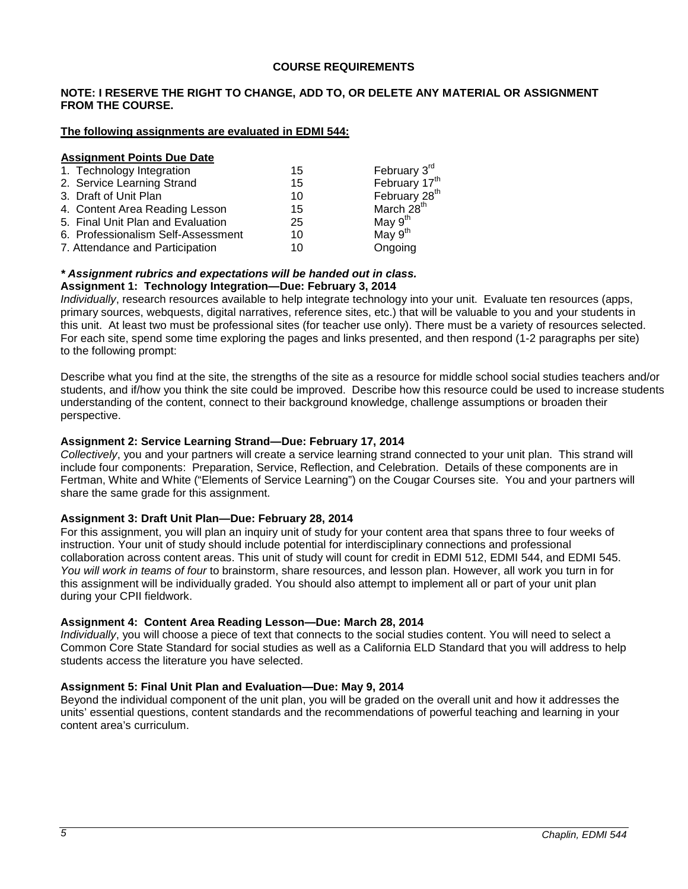### **COURSE REQUIREMENTS**

### **NOTE: I RESERVE THE RIGHT TO CHANGE, ADD TO, OR DELETE ANY MATERIAL OR ASSIGNMENT FROM THE COURSE.**

### **The following assignments are evaluated in EDMI 544:**

#### **Assignment Points Due Date**

| 15 | February 3 <sup>rd</sup>  |
|----|---------------------------|
| 15 | February 17 <sup>th</sup> |
| 10 | February 28 <sup>th</sup> |
| 15 | March 28 <sup>th</sup>    |
| 25 | May $9th$                 |
| 10 | May $9th$                 |
| 10 | Ongoing                   |
|    |                           |

#### *\* Assignment rubrics and expectations will be handed out in class.* **Assignment 1: Technology Integration—Due: February 3, 2014**

*Individually*, research resources available to help integrate technology into your unit. Evaluate ten resources (apps, primary sources, webquests, digital narratives, reference sites, etc.) that will be valuable to you and your students in this unit. At least two must be professional sites (for teacher use only). There must be a variety of resources selected. For each site, spend some time exploring the pages and links presented, and then respond (1-2 paragraphs per site) to the following prompt:

Describe what you find at the site, the strengths of the site as a resource for middle school social studies teachers and/or students, and if/how you think the site could be improved. Describe how this resource could be used to increase students understanding of the content, connect to their background knowledge, challenge assumptions or broaden their perspective.

## **Assignment 2: Service Learning Strand—Due: February 17, 2014**

*Collectively*, you and your partners will create a service learning strand connected to your unit plan. This strand will include four components: Preparation, Service, Reflection, and Celebration. Details of these components are in Fertman, White and White ("Elements of Service Learning") on the Cougar Courses site. You and your partners will share the same grade for this assignment.

### **Assignment 3: Draft Unit Plan—Due: February 28, 2014**

For this assignment, you will plan an inquiry unit of study for your content area that spans three to four weeks of instruction. Your unit of study should include potential for interdisciplinary connections and professional collaboration across content areas. This unit of study will count for credit in EDMI 512, EDMI 544, and EDMI 545. *You will work in teams of four* to brainstorm, share resources, and lesson plan. However, all work you turn in for this assignment will be individually graded. You should also attempt to implement all or part of your unit plan during your CPII fieldwork.

### **Assignment 4: Content Area Reading Lesson—Due: March 28, 2014**

*Individually*, you will choose a piece of text that connects to the social studies content. You will need to select a Common Core State Standard for social studies as well as a California ELD Standard that you will address to help students access the literature you have selected.

# **Assignment 5: Final Unit Plan and Evaluation—Due: May 9, 2014**

Beyond the individual component of the unit plan, you will be graded on the overall unit and how it addresses the units' essential questions, content standards and the recommendations of powerful teaching and learning in your content area's curriculum.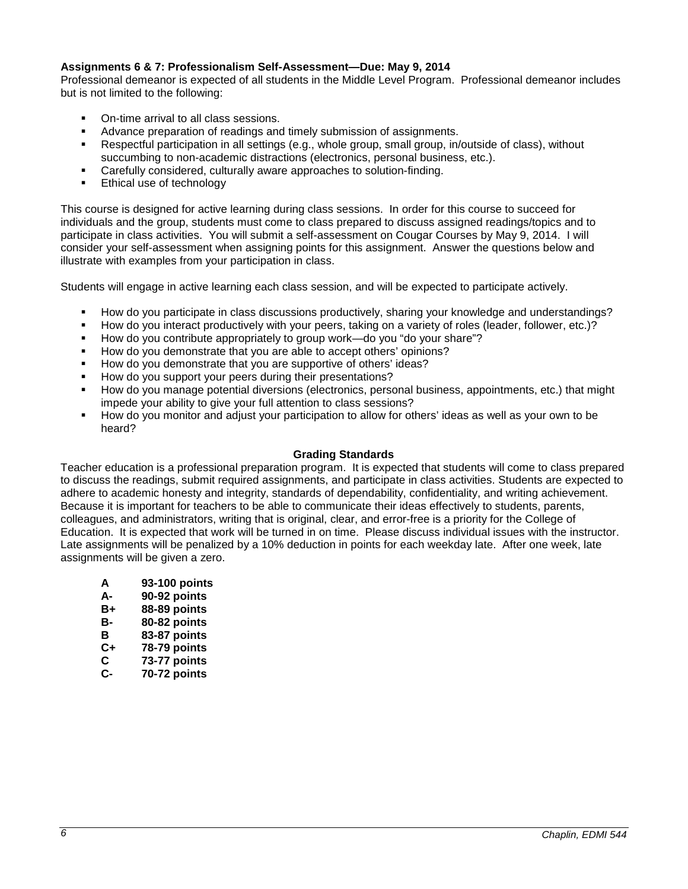# **Assignments 6 & 7: Professionalism Self-Assessment—Due: May 9, 2014**

Professional demeanor is expected of all students in the Middle Level Program. Professional demeanor includes but is not limited to the following:

- On-time arrival to all class sessions.
- Advance preparation of readings and timely submission of assignments.
- Respectful participation in all settings (e.g., whole group, small group, in/outside of class), without succumbing to non-academic distractions (electronics, personal business, etc.).
- Carefully considered, culturally aware approaches to solution-finding.
- **Ethical use of technology**

This course is designed for active learning during class sessions. In order for this course to succeed for individuals and the group, students must come to class prepared to discuss assigned readings/topics and to participate in class activities. You will submit a self-assessment on Cougar Courses by May 9, 2014. I will consider your self-assessment when assigning points for this assignment. Answer the questions below and illustrate with examples from your participation in class.

Students will engage in active learning each class session, and will be expected to participate actively.

- How do you participate in class discussions productively, sharing your knowledge and understandings?
- How do you interact productively with your peers, taking on a variety of roles (leader, follower, etc.)?
- How do you contribute appropriately to group work—do you "do your share"?
- How do you demonstrate that you are able to accept others' opinions?
- How do you demonstrate that you are supportive of others' ideas?
- How do you support your peers during their presentations?
- How do you manage potential diversions (electronics, personal business, appointments, etc.) that might impede your ability to give your full attention to class sessions?
- How do you monitor and adjust your participation to allow for others' ideas as well as your own to be heard?

### **Grading Standards**

Teacher education is a professional preparation program. It is expected that students will come to class prepared to discuss the readings, submit required assignments, and participate in class activities. Students are expected to adhere to academic honesty and integrity, standards of dependability, confidentiality, and writing achievement. Because it is important for teachers to be able to communicate their ideas effectively to students, parents, colleagues, and administrators, writing that is original, clear, and error-free is a priority for the College of Education. It is expected that work will be turned in on time. Please discuss individual issues with the instructor. Late assignments will be penalized by a 10% deduction in points for each weekday late. After one week, late assignments will be given a zero.

- **A 93-100 points**
- 
- **A- 90-92 points 88-89 points**
- 
- **B- 80-82 points**
- **B 83-87 points C+ 78-79 points**
- 
- **C 73-77 points C- 70-72 points**